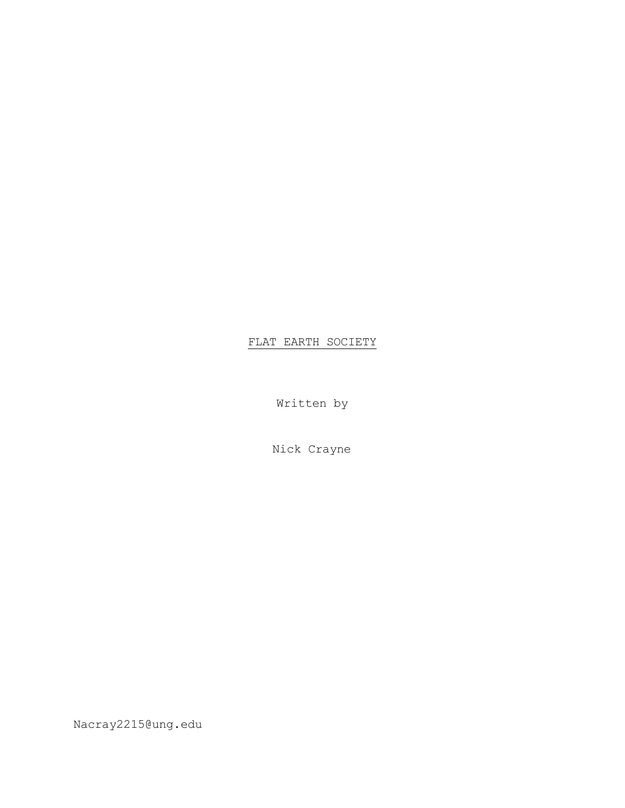# FLAT EARTH SOCIETY

Written by

Nick Crayne

Nacray2215@ung.edu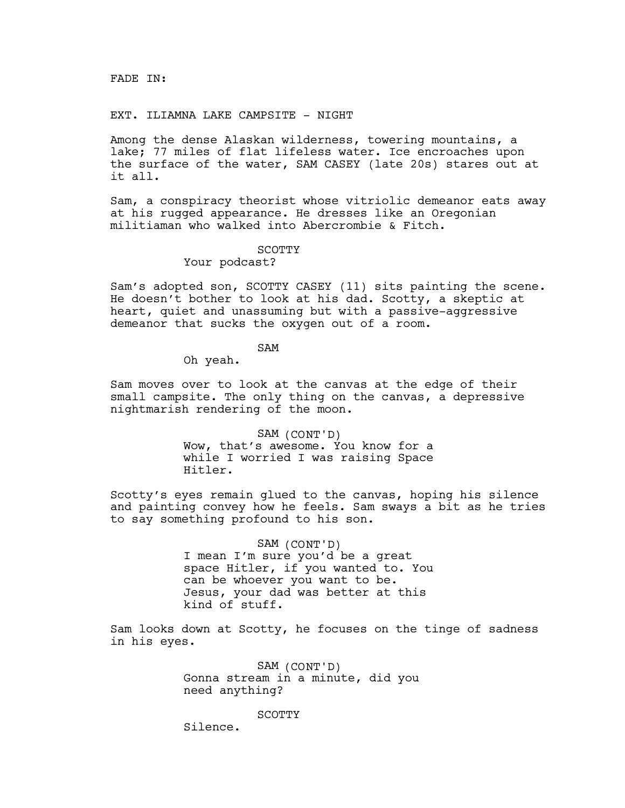EXT. ILIAMNA LAKE CAMPSITE - NIGHT

Among the dense Alaskan wilderness, towering mountains, a lake; 77 miles of flat lifeless water. Ice encroaches upon the surface of the water, SAM CASEY (late 20s) stares out at it all.

Sam, a conspiracy theorist whose vitriolic demeanor eats away at his rugged appearance. He dresses like an Oregonian militiaman who walked into Abercrombie & Fitch.

#### **SCOTTY**

Your podcast?

Sam's adopted son, SCOTTY CASEY (11) sits painting the scene. He doesn't bother to look at his dad. Scotty, a skeptic at heart, quiet and unassuming but with a passive-aggressive demeanor that sucks the oxygen out of a room.

SAM

Oh yeah.

Sam moves over to look at the canvas at the edge of their small campsite. The only thing on the canvas, a depressive nightmarish rendering of the moon.

> SAM (CONT'D) Wow, that's awesome. You know for a while I worried I was raising Space Hitler.

Scotty's eyes remain glued to the canvas, hoping his silence and painting convey how he feels. Sam sways a bit as he tries to say something profound to his son.

> SAM (CONT'D) I mean I'm sure you'd be a great space Hitler, if you wanted to. You can be whoever you want to be. Jesus, your dad was better at this kind of stuff.

Sam looks down at Scotty, he focuses on the tinge of sadness in his eyes.

> SAM (CONT'D) Gonna stream in a minute, did you need anything?

> > **SCOTTY**

Silence.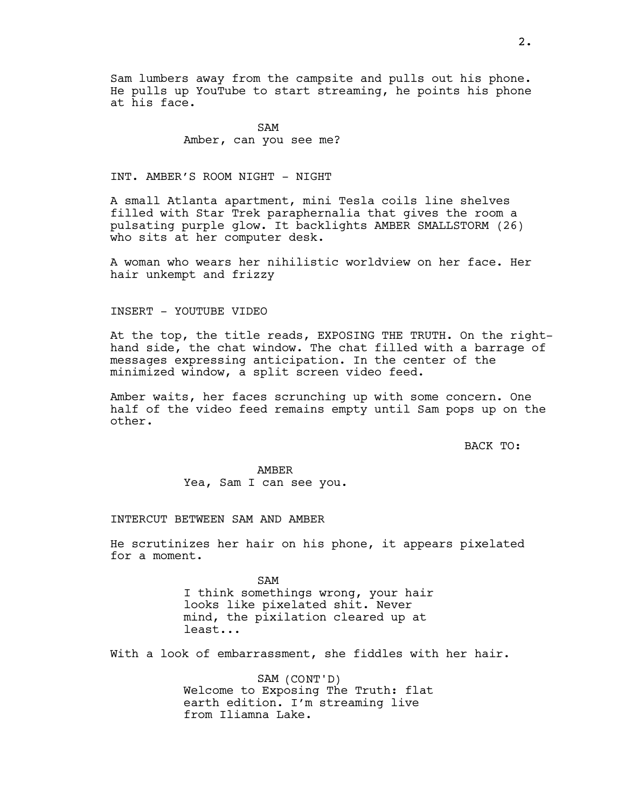Sam lumbers away from the campsite and pulls out his phone. He pulls up YouTube to start streaming, he points his phone at his face.

> SAM Amber, can you see me?

INT. AMBER'S ROOM NIGHT - NIGHT

A small Atlanta apartment, mini Tesla coils line shelves filled with Star Trek paraphernalia that gives the room a pulsating purple glow. It backlights AMBER SMALLSTORM (26) who sits at her computer desk.

A woman who wears her nihilistic worldview on her face. Her hair unkempt and frizzy

#### INSERT - YOUTUBE VIDEO

At the top, the title reads, EXPOSING THE TRUTH. On the righthand side, the chat window. The chat filled with a barrage of messages expressing anticipation. In the center of the minimized window, a split screen video feed.

Amber waits, her faces scrunching up with some concern. One half of the video feed remains empty until Sam pops up on the other.

BACK TO:

AMBER Yea, Sam I can see you.

#### INTERCUT BETWEEN SAM AND AMBER

He scrutinizes her hair on his phone, it appears pixelated for a moment.

> SAM I think somethings wrong, your hair looks like pixelated shit. Never mind, the pixilation cleared up at least...

With a look of embarrassment, she fiddles with her hair.

SAM (CONT'D) Welcome to Exposing The Truth: flat earth edition. I'm streaming live from Iliamna Lake.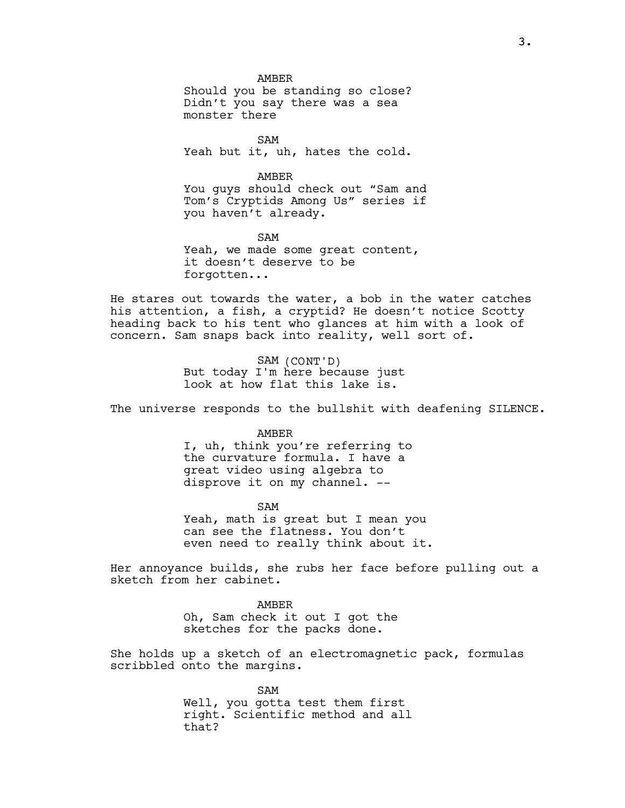AMBER Should you be standing so close? Didn't you say there was a sea monster there

SAM Yeah but it, uh, hates the cold.

AMBER You guys should check out "Sam and Tom's Cryptids Among Us" series if you haven't already.

SAM Yeah, we made some great content, it doesn't deserve to be forgotten...

He stares out towards the water, a bob in the water catches his attention, a fish, a cryptid? He doesn't notice Scotty heading back to his tent who glances at him with a look of concern. Sam snaps back into reality, well sort of.

> SAM (CONT'D) But today I'm here because just look at how flat this lake is.

The universe responds to the bullshit with deafening SILENCE.

AMBER

I, uh, think you're referring to the curvature formula. I have a great video using algebra to disprove it on my channel. --

SAM

Yeah, math is great but I mean you can see the flatness. You don't even need to really think about it.

Her annoyance builds, she rubs her face before pulling out a sketch from her cabinet.

> AMBER Oh, Sam check it out I got the sketches for the packs done.

She holds up a sketch of an electromagnetic pack, formulas scribbled onto the margins.

> SAM Well, you gotta test them first right. Scientific method and all that?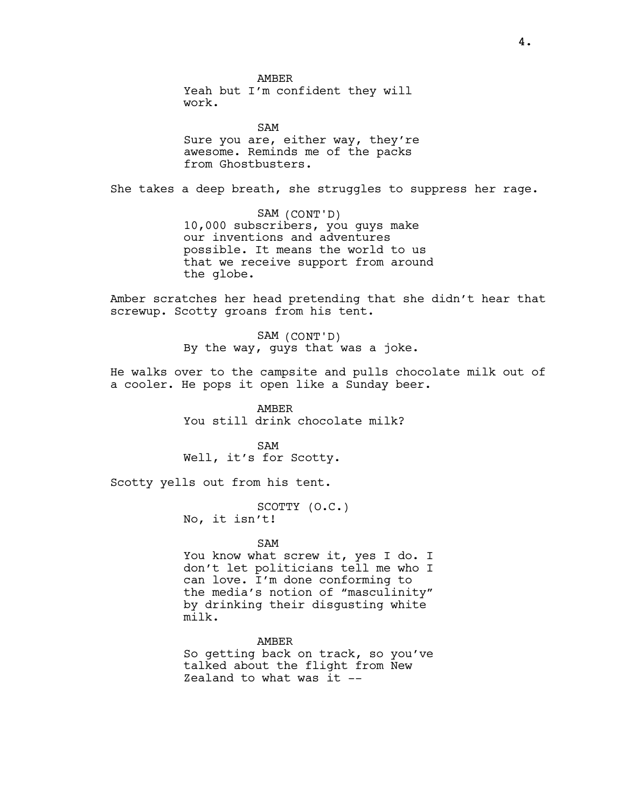AMBER Yeah but I'm confident they will work.

SAM Sure you are, either way, they're awesome. Reminds me of the packs from Ghostbusters.

She takes a deep breath, she struggles to suppress her rage.

SAM (CONT'D) 10,000 subscribers, you guys make our inventions and adventures possible. It means the world to us that we receive support from around the globe.

Amber scratches her head pretending that she didn't hear that screwup. Scotty groans from his tent.

> SAM (CONT'D) By the way, guys that was a joke.

He walks over to the campsite and pulls chocolate milk out of a cooler. He pops it open like a Sunday beer.

> AMBER You still drink chocolate milk?

SAM Well, it's for Scotty.

Scotty yells out from his tent.

SCOTTY (O.C.) No, it isn't!

#### SAM

You know what screw it, yes I do. I don't let politicians tell me who I can love. I'm done conforming to the media's notion of "masculinity" by drinking their disgusting white milk.

AMBER

So getting back on track, so you've talked about the flight from New Zealand to what was it --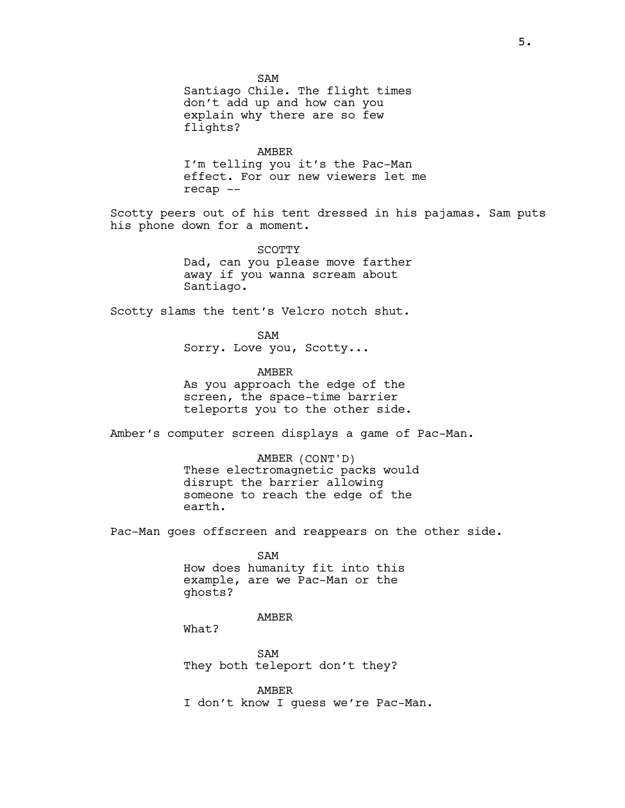SAM Santiago Chile. The flight times don't add up and how can you explain why there are so few flights? AMBER I'm telling you it's the Pac-Man effect. For our new viewers let me recap -- Scotty peers out of his tent dressed in his pajamas. Sam puts his phone down for a moment. SCOTTY Dad, can you please move farther away if you wanna scream about Santiago. Scotty slams the tent's Velcro notch shut. SAM Sorry. Love you, Scotty... AMBER As you approach the edge of the screen, the space-time barrier teleports you to the other side. Amber's computer screen displays a game of Pac-Man. AMBER (CONT'D) These electromagnetic packs would disrupt the barrier allowing someone to reach the edge of the earth. Pac-Man goes offscreen and reappears on the other side. SAM How does humanity fit into this example, are we Pac-Man or the ghosts? AMBER What? SAM They both teleport don't they? AMBER I don't know I guess we're Pac-Man.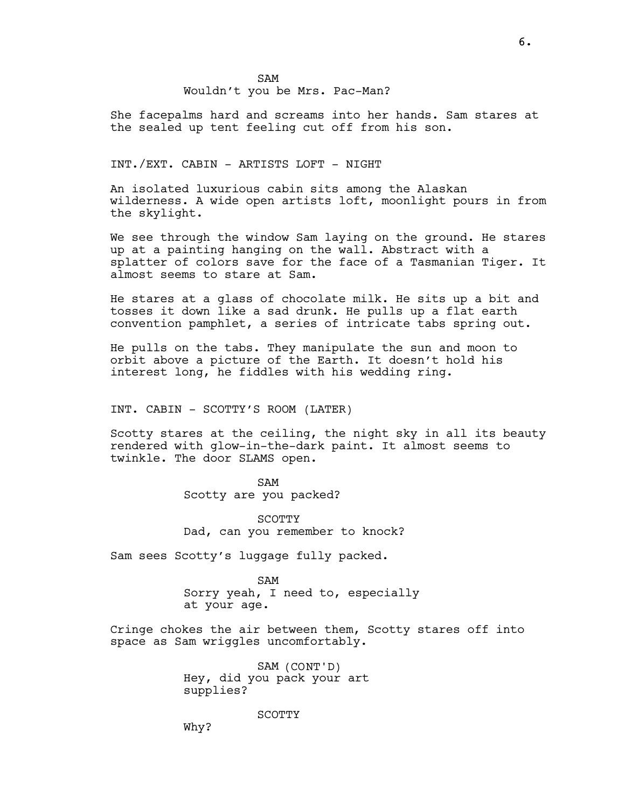She facepalms hard and screams into her hands. Sam stares at the sealed up tent feeling cut off from his son.

## INT./EXT. CABIN - ARTISTS LOFT - NIGHT

An isolated luxurious cabin sits among the Alaskan wilderness. A wide open artists loft, moonlight pours in from the skylight.

We see through the window Sam laying on the ground. He stares up at a painting hanging on the wall. Abstract with a splatter of colors save for the face of a Tasmanian Tiger. It almost seems to stare at Sam.

He stares at a glass of chocolate milk. He sits up a bit and tosses it down like a sad drunk. He pulls up a flat earth convention pamphlet, a series of intricate tabs spring out.

He pulls on the tabs. They manipulate the sun and moon to orbit above a picture of the Earth. It doesn't hold his interest long, he fiddles with his wedding ring.

INT. CABIN - SCOTTY'S ROOM (LATER)

Scotty stares at the ceiling, the night sky in all its beauty rendered with glow-in-the-dark paint. It almost seems to twinkle. The door SLAMS open.

> SAM Scotty are you packed?

SCOTTY Dad, can you remember to knock?

Sam sees Scotty's luggage fully packed.

SAM Sorry yeah, I need to, especially at your age.

Cringe chokes the air between them, Scotty stares off into space as Sam wriggles uncomfortably.

> SAM (CONT'D) Hey, did you pack your art supplies?

> > **SCOTTY**

Why?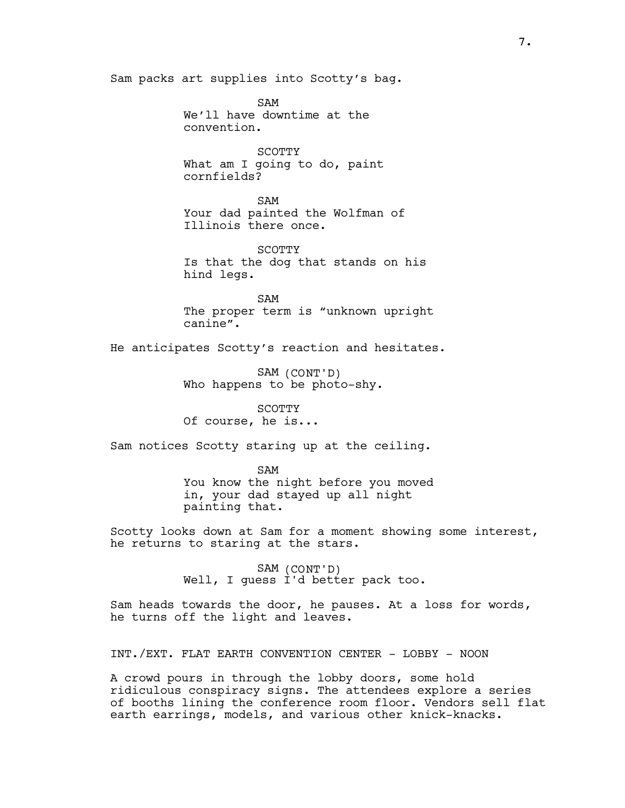Sam packs art supplies into Scotty's bag.

SAM We'll have downtime at the convention.

SCOTTY What am I going to do, paint cornfields?

SAM Your dad painted the Wolfman of Illinois there once.

**SCOTTY** Is that the dog that stands on his hind legs.

SAM The proper term is "unknown upright canine".

He anticipates Scotty's reaction and hesitates.

SAM (CONT'D) Who happens to be photo-shy.

SCOTTY Of course, he is...

Sam notices Scotty staring up at the ceiling.

SAM You know the night before you moved in, your dad stayed up all night painting that.

Scotty looks down at Sam for a moment showing some interest, he returns to staring at the stars.

> SAM (CONT'D) Well, I guess I'd better pack too.

Sam heads towards the door, he pauses. At a loss for words, he turns off the light and leaves.

INT./EXT. FLAT EARTH CONVENTION CENTER - LOBBY - NOON

A crowd pours in through the lobby doors, some hold ridiculous conspiracy signs. The attendees explore a series of booths lining the conference room floor. Vendors sell flat earth earrings, models, and various other knick-knacks.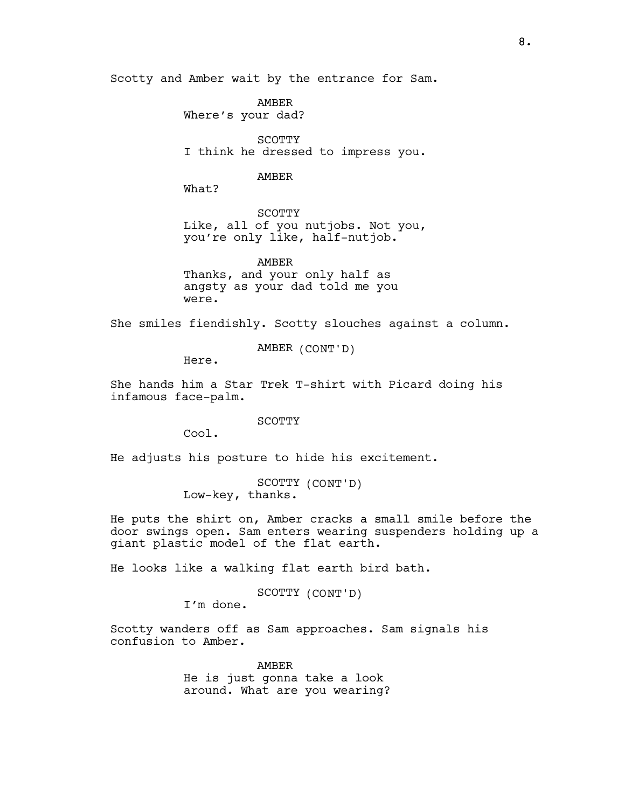Scotty and Amber wait by the entrance for Sam.

AMBER Where's your dad?

SCOTTY I think he dressed to impress you.

## AMBER

What?

SCOTTY Like, all of you nutjobs. Not you, you're only like, half-nutjob.

AMBER Thanks, and your only half as angsty as your dad told me you were.

She smiles fiendishly. Scotty slouches against a column.

AMBER (CONT'D)

Here.

She hands him a Star Trek T-shirt with Picard doing his infamous face-palm.

SCOTTY

Cool.

He adjusts his posture to hide his excitement.

SCOTTY (CONT'D) Low-key, thanks.

He puts the shirt on, Amber cracks a small smile before the door swings open. Sam enters wearing suspenders holding up a giant plastic model of the flat earth.

He looks like a walking flat earth bird bath.

SCOTTY (CONT'D)

I'm done.

Scotty wanders off as Sam approaches. Sam signals his confusion to Amber.

> AMBER He is just gonna take a look around. What are you wearing?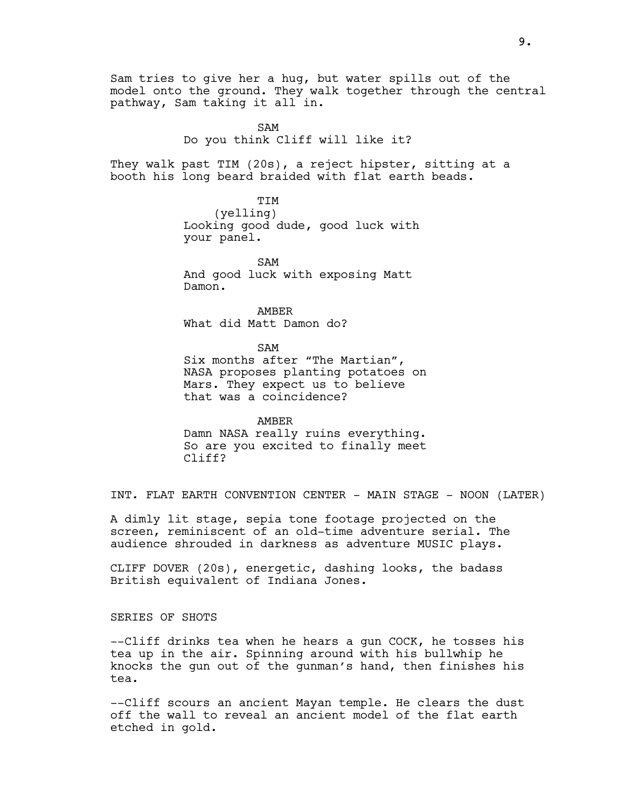Sam tries to give her a hug, but water spills out of the model onto the ground. They walk together through the central pathway, Sam taking it all in.

> SAM Do you think Cliff will like it?

They walk past TIM (20s), a reject hipster, sitting at a booth his long beard braided with flat earth beads.

> **TTM** (yelling) Looking good dude, good luck with your panel.

SAM And good luck with exposing Matt Damon.

AMBER What did Matt Damon do?

SAM Six months after "The Martian", NASA proposes planting potatoes on Mars. They expect us to believe that was a coincidence?

AMBER Damn NASA really ruins everything. So are you excited to finally meet Cliff?

INT. FLAT EARTH CONVENTION CENTER - MAIN STAGE - NOON (LATER)

A dimly lit stage, sepia tone footage projected on the screen, reminiscent of an old-time adventure serial. The audience shrouded in darkness as adventure MUSIC plays.

CLIFF DOVER (20s), energetic, dashing looks, the badass British equivalent of Indiana Jones.

SERIES OF SHOTS

--Cliff drinks tea when he hears a gun COCK, he tosses his tea up in the air. Spinning around with his bullwhip he knocks the gun out of the gunman's hand, then finishes his tea.

--Cliff scours an ancient Mayan temple. He clears the dust off the wall to reveal an ancient model of the flat earth etched in gold.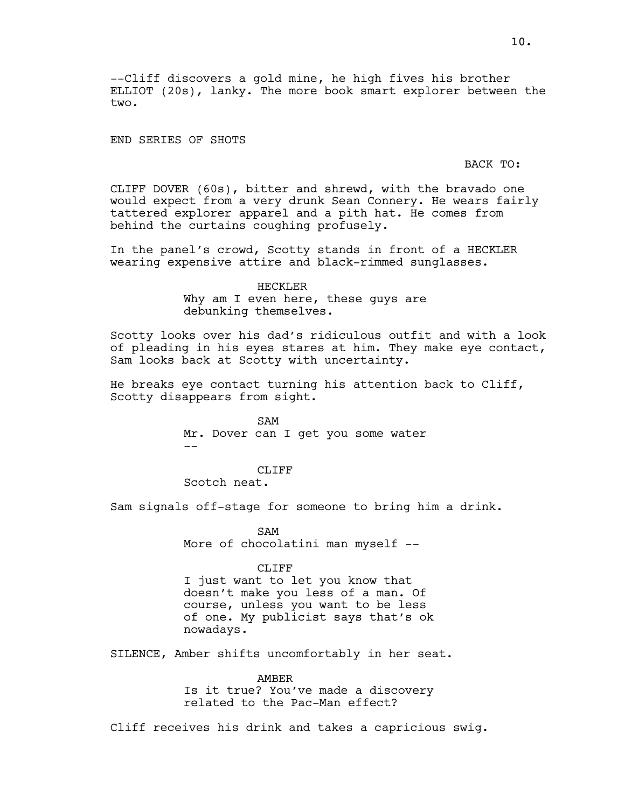--Cliff discovers a gold mine, he high fives his brother ELLIOT (20s), lanky. The more book smart explorer between the two.

END SERIES OF SHOTS

## BACK TO:

CLIFF DOVER (60s), bitter and shrewd, with the bravado one would expect from a very drunk Sean Connery. He wears fairly tattered explorer apparel and a pith hat. He comes from behind the curtains coughing profusely.

In the panel's crowd, Scotty stands in front of a HECKLER wearing expensive attire and black-rimmed sunglasses.

> HECKLER Why am I even here, these guys are debunking themselves.

Scotty looks over his dad's ridiculous outfit and with a look of pleading in his eyes stares at him. They make eye contact, Sam looks back at Scotty with uncertainty.

He breaks eye contact turning his attention back to Cliff, Scotty disappears from sight.

> SAM Mr. Dover can I get you some water  $-$

> > CLIFF

Scotch neat.

Sam signals off-stage for someone to bring him a drink.

SAM More of chocolatini man myself --

CLIFF

I just want to let you know that doesn't make you less of a man. Of course, unless you want to be less of one. My publicist says that's ok nowadays.

SILENCE, Amber shifts uncomfortably in her seat.

AMBER Is it true? You've made a discovery related to the Pac-Man effect?

Cliff receives his drink and takes a capricious swig.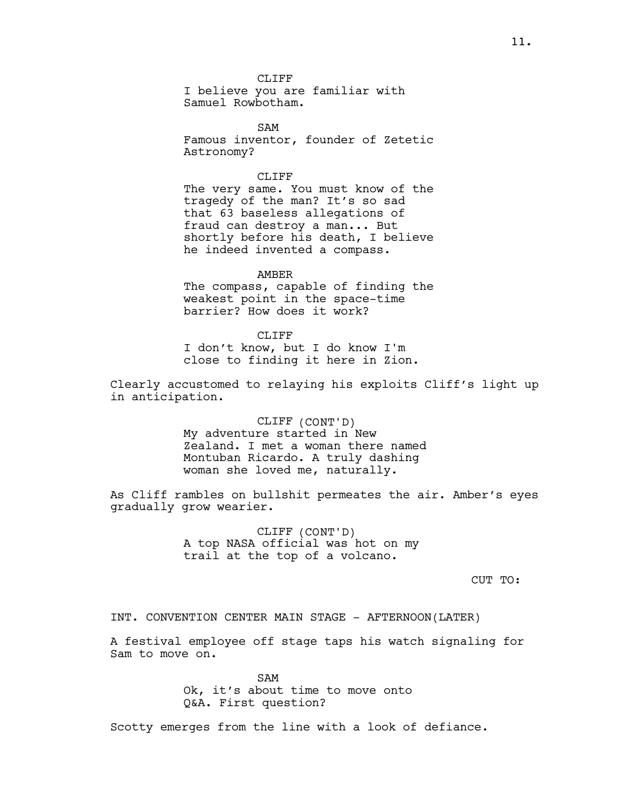CLIFF I believe you are familiar with Samuel Rowbotham.

SAM Famous inventor, founder of Zetetic Astronomy?

## CLIFF<sub></sub>

The very same. You must know of the tragedy of the man? It's so sad that 63 baseless allegations of fraud can destroy a man... But shortly before his death, I believe he indeed invented a compass.

AMBER

The compass, capable of finding the weakest point in the space-time barrier? How does it work?

CLIFF I don't know, but I do know I'm close to finding it here in Zion.

Clearly accustomed to relaying his exploits Cliff's light up in anticipation.

> CLIFF (CONT'D) My adventure started in New Zealand. I met a woman there named Montuban Ricardo. A truly dashing woman she loved me, naturally.

As Cliff rambles on bullshit permeates the air. Amber's eyes gradually grow wearier.

> CLIFF (CONT'D) A top NASA official was hot on my trail at the top of a volcano.

> > CUT TO:

INT. CONVENTION CENTER MAIN STAGE - AFTERNOON(LATER)

A festival employee off stage taps his watch signaling for Sam to move on.

> SAM Ok, it's about time to move onto Q&A. First question?

Scotty emerges from the line with a look of defiance.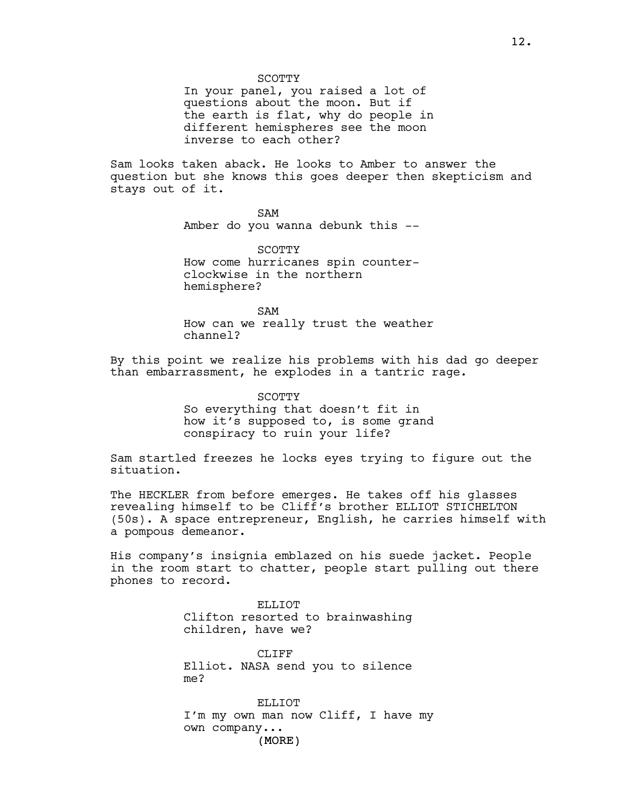SCOTTY

In your panel, you raised a lot of questions about the moon. But if the earth is flat, why do people in different hemispheres see the moon inverse to each other?

Sam looks taken aback. He looks to Amber to answer the question but she knows this goes deeper then skepticism and stays out of it.

SAM

Amber do you wanna debunk this --

SCOTTY How come hurricanes spin counterclockwise in the northern hemisphere?

SAM How can we really trust the weather channel?

By this point we realize his problems with his dad go deeper than embarrassment, he explodes in a tantric rage.

> **SCOTTY** So everything that doesn't fit in how it's supposed to, is some grand conspiracy to ruin your life?

Sam startled freezes he locks eyes trying to figure out the situation.

The HECKLER from before emerges. He takes off his glasses revealing himself to be Cliff's brother ELLIOT STICHELTON (50s). A space entrepreneur, English, he carries himself with a pompous demeanor.

His company's insignia emblazed on his suede jacket. People in the room start to chatter, people start pulling out there phones to record.

> ELLIOT. Clifton resorted to brainwashing children, have we?

> CLIFF Elliot. NASA send you to silence me?

ELLIOT I'm my own man now Cliff, I have my own company...

(MORE)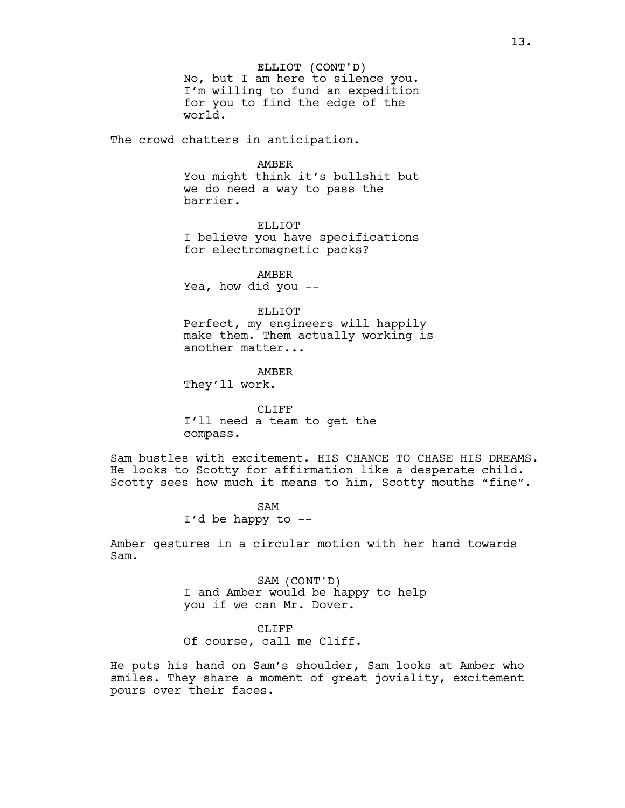ELLIOT (CONT'D) No, but I am here to silence you. I'm willing to fund an expedition for you to find the edge of the world.

The crowd chatters in anticipation.

#### AMBER

You might think it's bullshit but we do need a way to pass the barrier.

ELLIOT I believe you have specifications for electromagnetic packs?

AMBER Yea, how did you --

## ELLIOT.

Perfect, my engineers will happily make them. Them actually working is another matter...

AMBER They'll work.

CLIFF I'll need a team to get the compass.

Sam bustles with excitement. HIS CHANCE TO CHASE HIS DREAMS. He looks to Scotty for affirmation like a desperate child. Scotty sees how much it means to him, Scotty mouths "fine".

> SAM I'd be happy to --

Amber gestures in a circular motion with her hand towards Sam.

> SAM (CONT'D) I and Amber would be happy to help you if we can Mr. Dover.

CLIFF Of course, call me Cliff.

He puts his hand on Sam's shoulder, Sam looks at Amber who smiles. They share a moment of great joviality, excitement pours over their faces.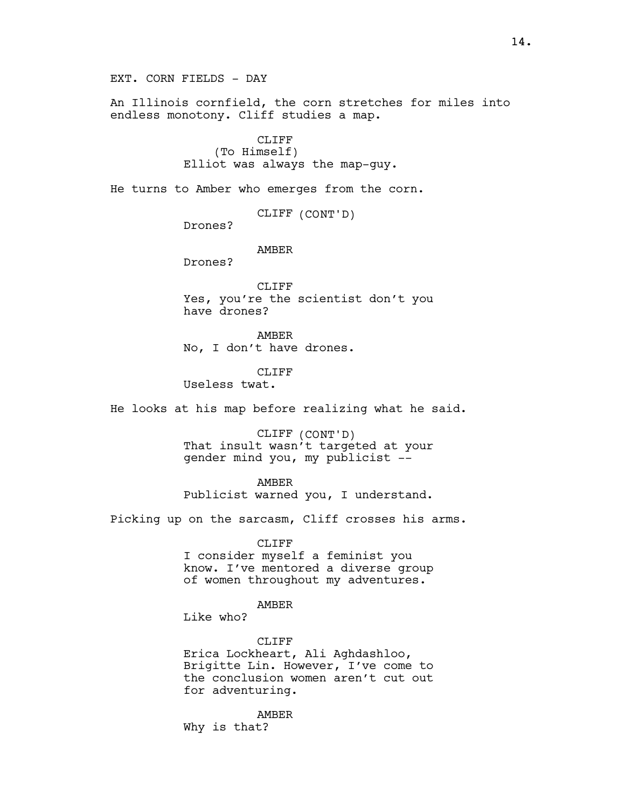EXT. CORN FIELDS - DAY

An Illinois cornfield, the corn stretches for miles into endless monotony. Cliff studies a map.

## CLIFF (To Himself) Elliot was always the map-guy.

He turns to Amber who emerges from the corn.

CLIFF (CONT'D)

Drones?

AMBER

Drones?

CLIFF Yes, you're the scientist don't you have drones?

AMBER No, I don't have drones.

CLIFF

Useless twat.

He looks at his map before realizing what he said.

CLIFF (CONT'D) That insult wasn't targeted at your gender mind you, my publicist --

AMBER

Publicist warned you, I understand.

Picking up on the sarcasm, Cliff crosses his arms.

CLIFF

I consider myself a feminist you know. I've mentored a diverse group of women throughout my adventures.

#### AMBER

Like who?

CLIFF

Erica Lockheart, Ali Aghdashloo, Brigitte Lin. However, I've come to the conclusion women aren't cut out for adventuring.

AMBER Why is that?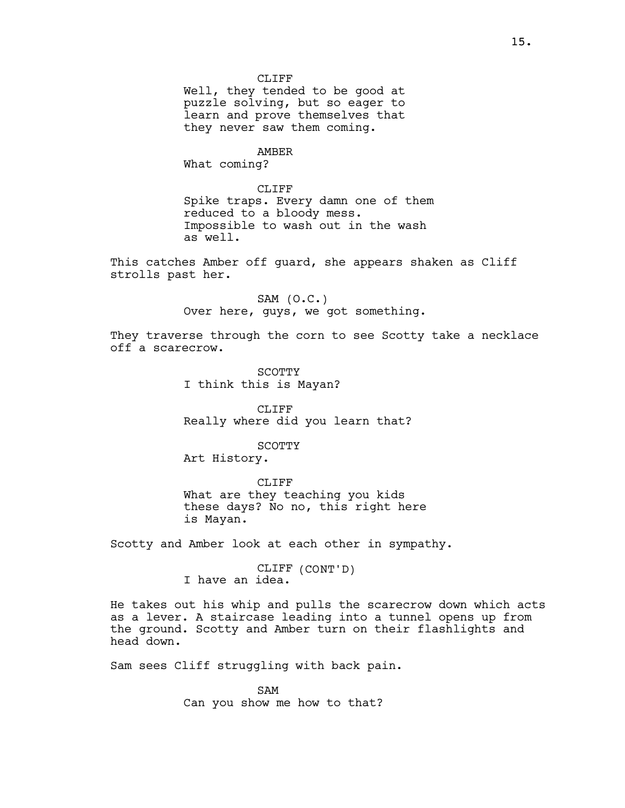CLIFF Well, they tended to be good at puzzle solving, but so eager to learn and prove themselves that they never saw them coming.

AMBER What coming?

CLIFF Spike traps. Every damn one of them reduced to a bloody mess. Impossible to wash out in the wash as well.

This catches Amber off guard, she appears shaken as Cliff strolls past her.

> $SAM (O.C.)$ Over here, guys, we got something.

They traverse through the corn to see Scotty take a necklace off a scarecrow.

> SCOTTY I think this is Mayan?

CLIFF Really where did you learn that?

SCOTTY

Art History.

CLIFF What are they teaching you kids these days? No no, this right here is Mayan.

Scotty and Amber look at each other in sympathy.

CLIFF (CONT'D) I have an idea.

He takes out his whip and pulls the scarecrow down which acts as a lever. A staircase leading into a tunnel opens up from the ground. Scotty and Amber turn on their flashlights and head down.

Sam sees Cliff struggling with back pain.

SAM Can you show me how to that?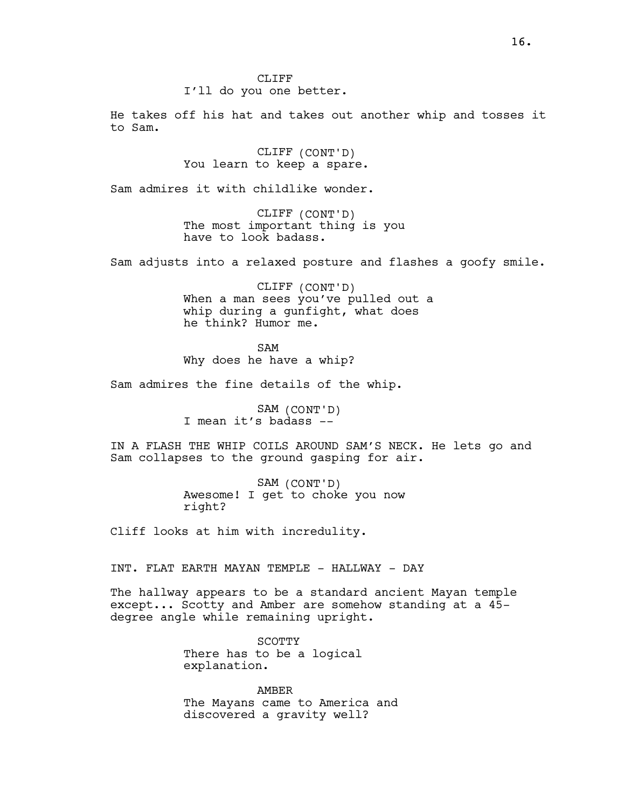#### CLIFF

## I'll do you one better.

He takes off his hat and takes out another whip and tosses it to Sam.

> CLIFF (CONT'D) You learn to keep a spare.

Sam admires it with childlike wonder.

CLIFF (CONT'D) The most important thing is you have to look badass.

Sam adjusts into a relaxed posture and flashes a goofy smile.

CLIFF (CONT'D) When a man sees you've pulled out a whip during a gunfight, what does he think? Humor me.

SAM Why does he have a whip?

Sam admires the fine details of the whip.

SAM (CONT'D) I mean it's badass --

IN A FLASH THE WHIP COILS AROUND SAM'S NECK. He lets go and Sam collapses to the ground gasping for air.

> SAM (CONT'D) Awesome! I get to choke you now right?

Cliff looks at him with incredulity.

INT. FLAT EARTH MAYAN TEMPLE - HALLWAY - DAY

The hallway appears to be a standard ancient Mayan temple except... Scotty and Amber are somehow standing at a 45 degree angle while remaining upright.

> SCOTTY There has to be a logical explanation.

AMBER The Mayans came to America and discovered a gravity well?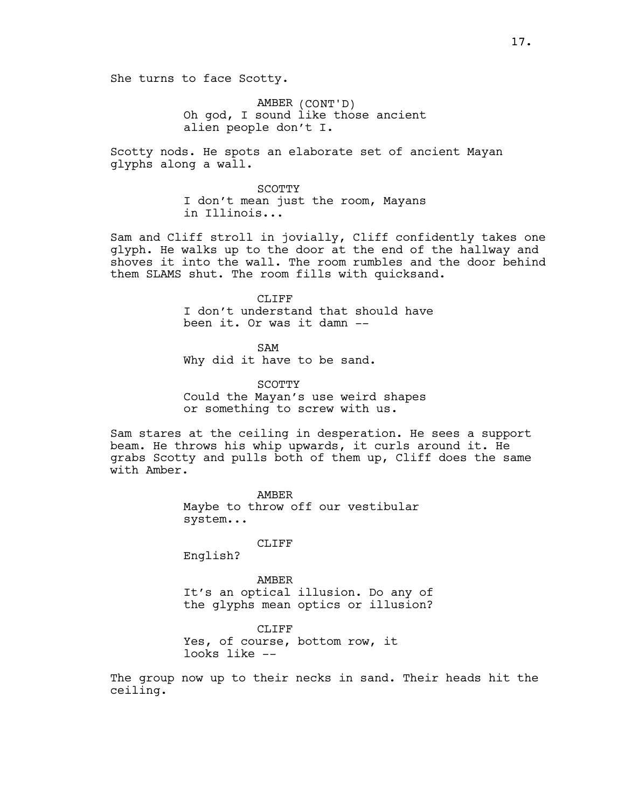She turns to face Scotty.

AMBER (CONT'D) Oh god, I sound like those ancient alien people don't I.

Scotty nods. He spots an elaborate set of ancient Mayan glyphs along a wall.

> SCOTTY I don't mean just the room, Mayans in Illinois...

Sam and Cliff stroll in jovially, Cliff confidently takes one glyph. He walks up to the door at the end of the hallway and shoves it into the wall. The room rumbles and the door behind them SLAMS shut. The room fills with quicksand.

> CLIFF I don't understand that should have been it. Or was it damn --

SAM Why did it have to be sand.

SCOTTY Could the Mayan's use weird shapes or something to screw with us.

Sam stares at the ceiling in desperation. He sees a support beam. He throws his whip upwards, it curls around it. He grabs Scotty and pulls both of them up, Cliff does the same with Amber.

> AMBER Maybe to throw off our vestibular system...

> > CLIFF

English?

AMBER It's an optical illusion. Do any of the glyphs mean optics or illusion?

CLIFF Yes, of course, bottom row, it looks like --

The group now up to their necks in sand. Their heads hit the ceiling.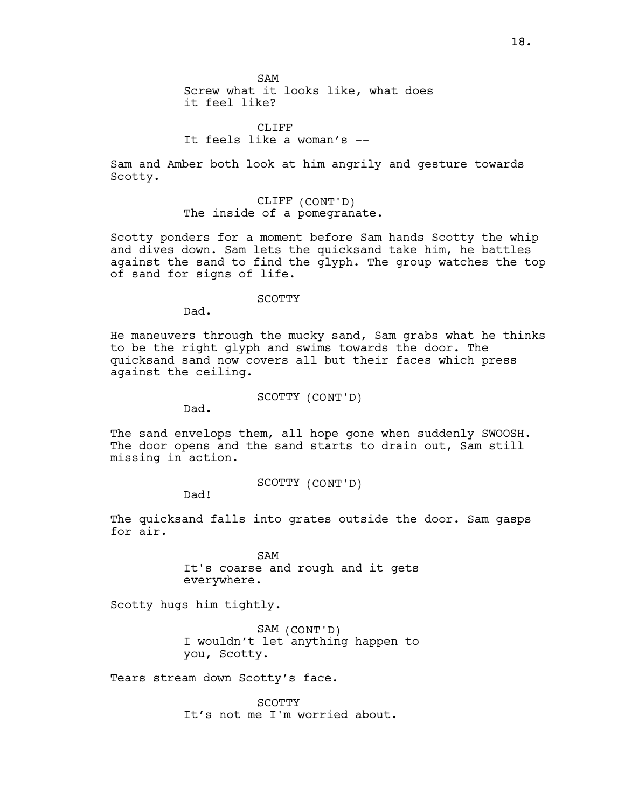SAM Screw what it looks like, what does it feel like?

CLIFF<sub>R</sub> It feels like a woman's --

Sam and Amber both look at him angrily and gesture towards Scotty.

> CLIFF (CONT'D) The inside of a pomegranate.

Scotty ponders for a moment before Sam hands Scotty the whip and dives down. Sam lets the quicksand take him, he battles against the sand to find the glyph. The group watches the top of sand for signs of life.

#### SCOTTY

Dad.

He maneuvers through the mucky sand, Sam grabs what he thinks to be the right glyph and swims towards the door. The quicksand sand now covers all but their faces which press against the ceiling.

SCOTTY (CONT'D)

Dad.

The sand envelops them, all hope gone when suddenly SWOOSH. The door opens and the sand starts to drain out, Sam still missing in action.

SCOTTY (CONT'D)

Dad!

The quicksand falls into grates outside the door. Sam gasps for air.

> SAM It's coarse and rough and it gets everywhere.

Scotty hugs him tightly.

SAM (CONT'D) I wouldn't let anything happen to you, Scotty.

Tears stream down Scotty's face.

SCOTTY It's not me I'm worried about.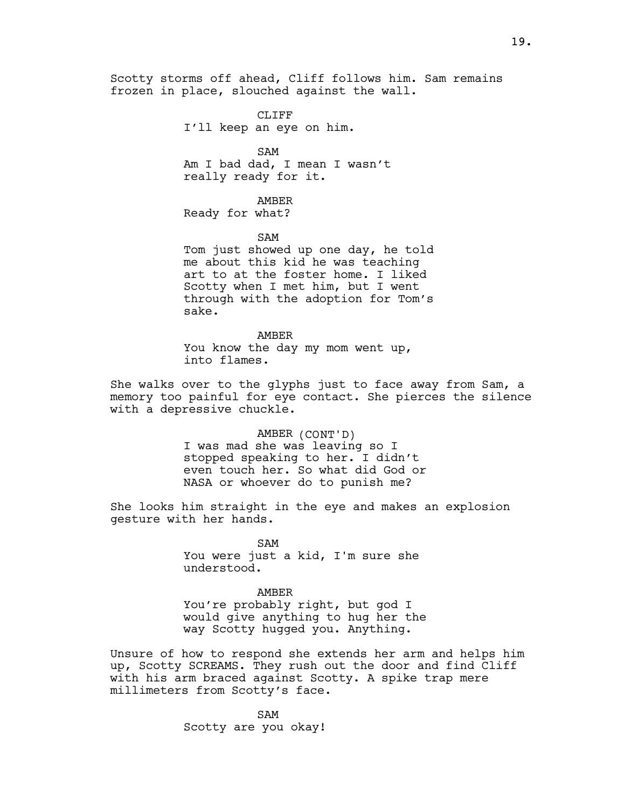Scotty storms off ahead, Cliff follows him. Sam remains frozen in place, slouched against the wall.

> CLIFF I'll keep an eye on him.

SAM Am I bad dad, I mean I wasn't really ready for it.

AMBER Ready for what?

SAM

Tom just showed up one day, he told me about this kid he was teaching art to at the foster home. I liked Scotty when I met him, but I went through with the adoption for Tom's sake.

AMBER You know the day my mom went up, into flames.

She walks over to the glyphs just to face away from Sam, a memory too painful for eye contact. She pierces the silence with a depressive chuckle.

> AMBER (CONT'D) I was mad she was leaving so I stopped speaking to her. I didn't even touch her. So what did God or NASA or whoever do to punish me?

She looks him straight in the eye and makes an explosion gesture with her hands.

> SAM You were just a kid, I'm sure she understood.

AMBER You're probably right, but god I would give anything to hug her the way Scotty hugged you. Anything.

Unsure of how to respond she extends her arm and helps him up, Scotty SCREAMS. They rush out the door and find Cliff with his arm braced against Scotty. A spike trap mere millimeters from Scotty's face.

> SAM Scotty are you okay!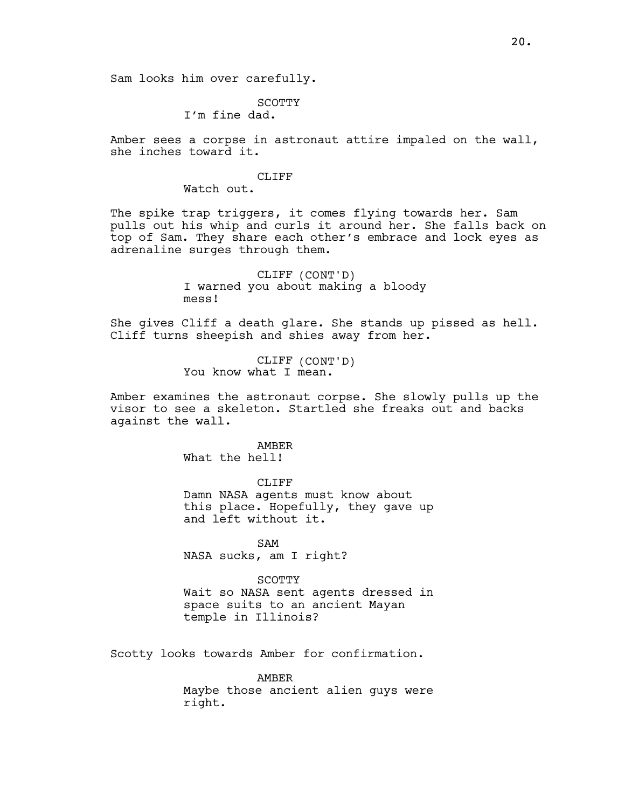Sam looks him over carefully.

## SCOTTY

I'm fine dad.

Amber sees a corpse in astronaut attire impaled on the wall, she inches toward it.

## CLIFF<sub></sub>

Watch out.

The spike trap triggers, it comes flying towards her. Sam pulls out his whip and curls it around her. She falls back on top of Sam. They share each other's embrace and lock eyes as adrenaline surges through them.

> CLIFF (CONT'D) I warned you about making a bloody mess!

She gives Cliff a death glare. She stands up pissed as hell. Cliff turns sheepish and shies away from her.

> CLIFF (CONT'D) You know what I mean.

Amber examines the astronaut corpse. She slowly pulls up the visor to see a skeleton. Startled she freaks out and backs against the wall.

# AMBER

What the hell!

CLIFF Damn NASA agents must know about this place. Hopefully, they gave up and left without it.

SAM NASA sucks, am I right?

**SCOTTY** Wait so NASA sent agents dressed in space suits to an ancient Mayan temple in Illinois?

Scotty looks towards Amber for confirmation.

AMBER Maybe those ancient alien guys were right.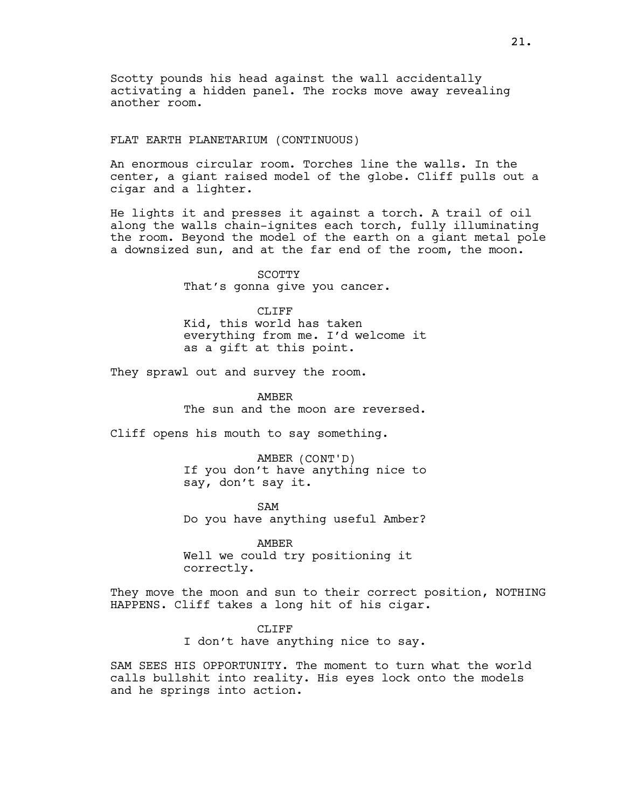Scotty pounds his head against the wall accidentally activating a hidden panel. The rocks move away revealing another room.

## FLAT EARTH PLANETARIUM (CONTINUOUS)

An enormous circular room. Torches line the walls. In the center, a giant raised model of the globe. Cliff pulls out a cigar and a lighter.

He lights it and presses it against a torch. A trail of oil along the walls chain-ignites each torch, fully illuminating the room. Beyond the model of the earth on a giant metal pole a downsized sun, and at the far end of the room, the moon.

> SCOTTY That's gonna give you cancer.

CLIFF<sup></sup> Kid, this world has taken everything from me. I'd welcome it as a gift at this point.

They sprawl out and survey the room.

AMBER The sun and the moon are reversed.

Cliff opens his mouth to say something.

AMBER (CONT'D) If you don't have anything nice to say, don't say it.

SAM Do you have anything useful Amber?

AMBER Well we could try positioning it correctly.

They move the moon and sun to their correct position, NOTHING HAPPENS. Cliff takes a long hit of his cigar.

> CLIFF I don't have anything nice to say.

SAM SEES HIS OPPORTUNITY. The moment to turn what the world calls bullshit into reality. His eyes lock onto the models and he springs into action.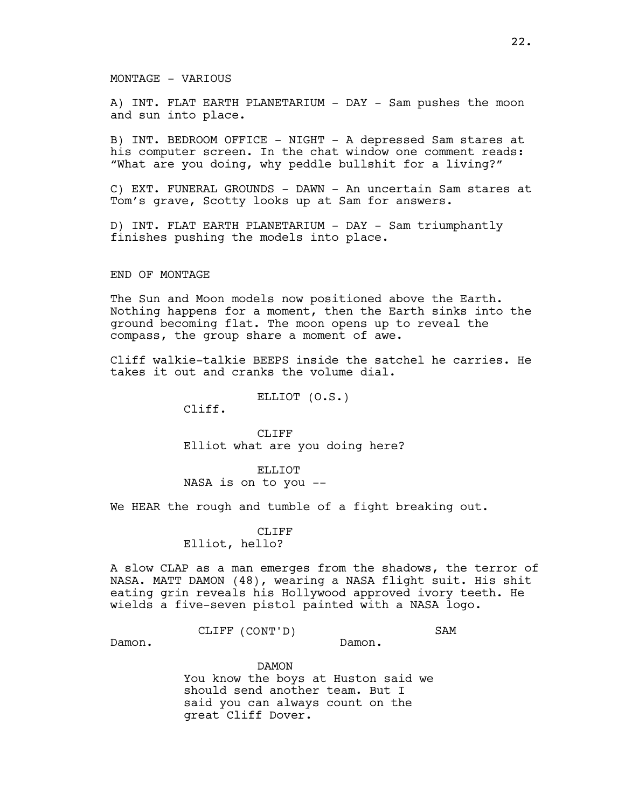## MONTAGE - VARIOUS

A) INT. FLAT EARTH PLANETARIUM - DAY - Sam pushes the moon and sun into place.

B) INT. BEDROOM OFFICE - NIGHT - A depressed Sam stares at his computer screen. In the chat window one comment reads: "What are you doing, why peddle bullshit for a living?"

C) EXT. FUNERAL GROUNDS - DAWN - An uncertain Sam stares at Tom's grave, Scotty looks up at Sam for answers.

D) INT. FLAT EARTH PLANETARIUM - DAY - Sam triumphantly finishes pushing the models into place.

#### END OF MONTAGE

The Sun and Moon models now positioned above the Earth. Nothing happens for a moment, then the Earth sinks into the ground becoming flat. The moon opens up to reveal the compass, the group share a moment of awe.

Cliff walkie-talkie BEEPS inside the satchel he carries. He takes it out and cranks the volume dial.

ELLIOT (O.S.)

Cliff.

CLIFF Elliot what are you doing here?

ELLIOT NASA is on to you --

We HEAR the rough and tumble of a fight breaking out.

## CLIFF Elliot, hello?

A slow CLAP as a man emerges from the shadows, the terror of NASA. MATT DAMON (48), wearing a NASA flight suit. His shit eating grin reveals his Hollywood approved ivory teeth. He wields a five-seven pistol painted with a NASA logo.

> CLIFF (CONT'D) SAM

Damon.

Damon.

DAMON You know the boys at Huston said we should send another team. But I said you can always count on the great Cliff Dover.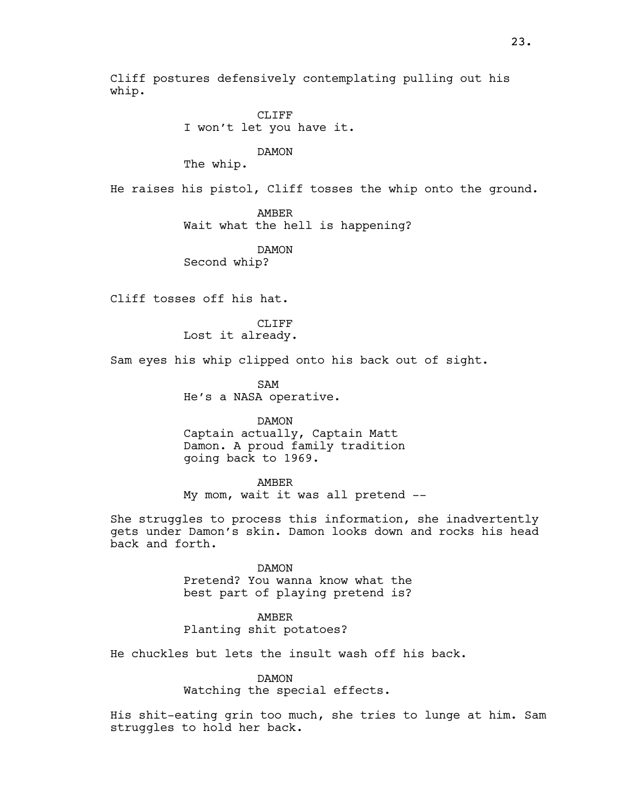Cliff postures defensively contemplating pulling out his whip.

> CLIFF I won't let you have it.

> > DAMON

The whip.

He raises his pistol, Cliff tosses the whip onto the ground.

AMBER

Wait what the hell is happening?

DAMON

Second whip?

Cliff tosses off his hat.

CLIFF Lost it already.

Sam eyes his whip clipped onto his back out of sight.

SAM He's a NASA operative.

DAMON

Captain actually, Captain Matt Damon. A proud family tradition going back to 1969.

AMBER

My mom, wait it was all pretend --

She struggles to process this information, she inadvertently gets under Damon's skin. Damon looks down and rocks his head back and forth.

> DAMON Pretend? You wanna know what the best part of playing pretend is?

AMBER Planting shit potatoes?

He chuckles but lets the insult wash off his back.

DAMON

Watching the special effects.

His shit-eating grin too much, she tries to lunge at him. Sam struggles to hold her back.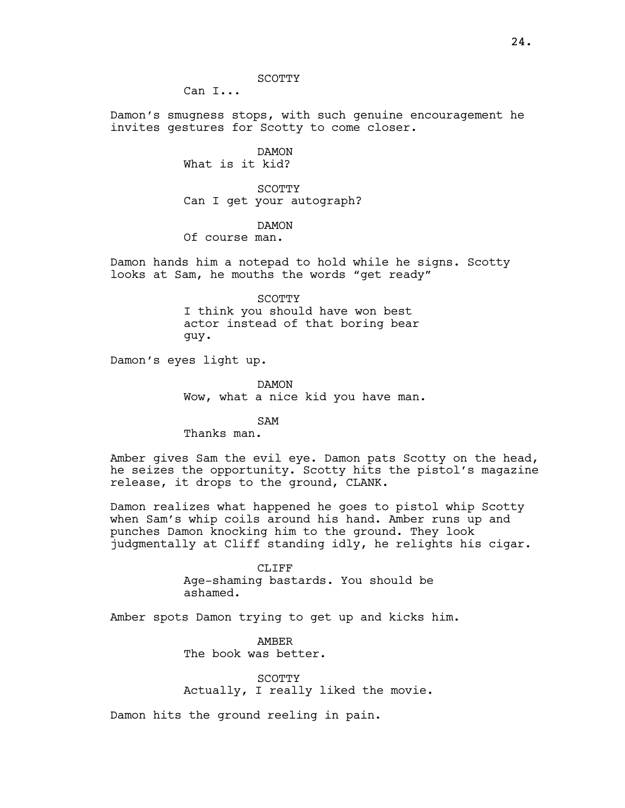SCOTTY

Can I...

Damon's smugness stops, with such genuine encouragement he invites gestures for Scotty to come closer.

> DAMON What is it kid?

SCOTTY Can I get your autograph?

DAMON

Of course man.

Damon hands him a notepad to hold while he signs. Scotty looks at Sam, he mouths the words "get ready"

> SCOTTY I think you should have won best actor instead of that boring bear guy.

Damon's eyes light up.

DAMON Wow, what a nice kid you have man.

SAM Thanks man.

Amber gives Sam the evil eye. Damon pats Scotty on the head, he seizes the opportunity. Scotty hits the pistol's magazine release, it drops to the ground, CLANK.

Damon realizes what happened he goes to pistol whip Scotty when Sam's whip coils around his hand. Amber runs up and punches Damon knocking him to the ground. They look judgmentally at Cliff standing idly, he relights his cigar.

> CLIFF Age-shaming bastards. You should be ashamed.

Amber spots Damon trying to get up and kicks him.

AMBER The book was better.

SCOTTY Actually, I really liked the movie.

Damon hits the ground reeling in pain.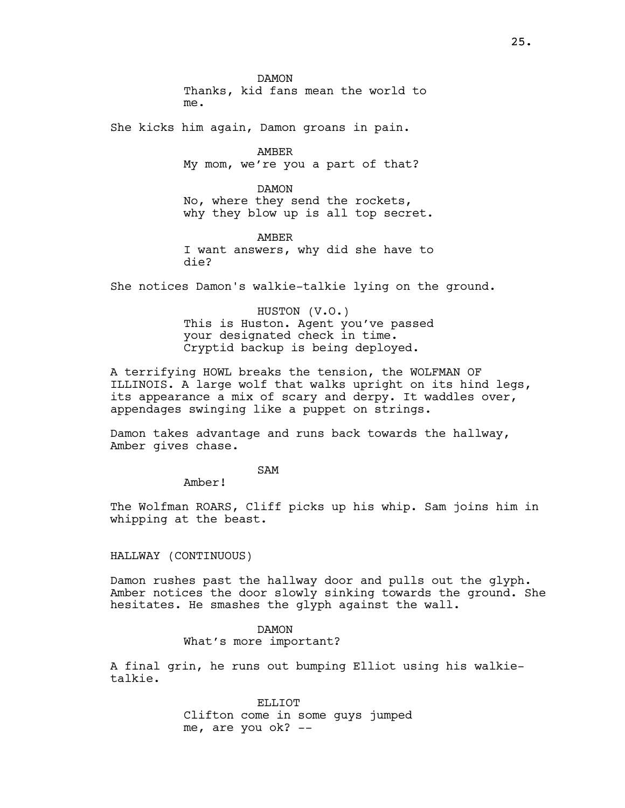DAMON Thanks, kid fans mean the world to me.

She kicks him again, Damon groans in pain.

AMBER My mom, we're you a part of that?

DAMON No, where they send the rockets, why they blow up is all top secret.

AMBER I want answers, why did she have to die?

She notices Damon's walkie-talkie lying on the ground.

HUSTON (V.O.) This is Huston. Agent you've passed your designated check in time. Cryptid backup is being deployed.

A terrifying HOWL breaks the tension, the WOLFMAN OF ILLINOIS. A large wolf that walks upright on its hind legs, its appearance a mix of scary and derpy. It waddles over, appendages swinging like a puppet on strings.

Damon takes advantage and runs back towards the hallway, Amber gives chase.

SAM

Amber!

The Wolfman ROARS, Cliff picks up his whip. Sam joins him in whipping at the beast.

HALLWAY (CONTINUOUS)

Damon rushes past the hallway door and pulls out the glyph. Amber notices the door slowly sinking towards the ground. She hesitates. He smashes the glyph against the wall.

> DAMON What's more important?

A final grin, he runs out bumping Elliot using his walkietalkie.

> ELLIOT Clifton come in some guys jumped me, are you ok? --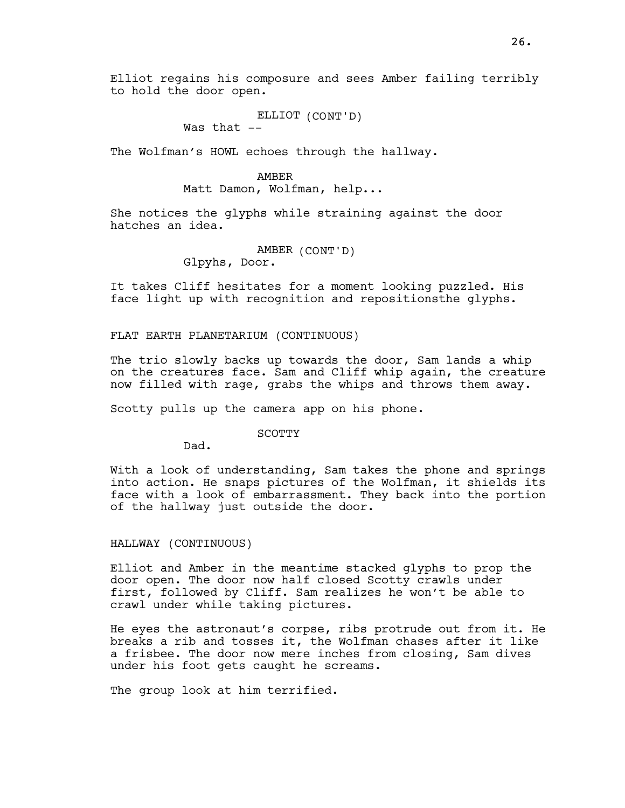ELLIOT (CONT'D)

Was that  $--$ 

The Wolfman's HOWL echoes through the hallway.

## AMBER

Matt Damon, Wolfman, help...

She notices the glyphs while straining against the door hatches an idea.

## AMBER (CONT'D) Glpyhs, Door.

It takes Cliff hesitates for a moment looking puzzled. His face light up with recognition and repositionsthe glyphs.

FLAT EARTH PLANETARIUM (CONTINUOUS)

The trio slowly backs up towards the door, Sam lands a whip on the creatures face. Sam and Cliff whip again, the creature now filled with rage, grabs the whips and throws them away.

Scotty pulls up the camera app on his phone.

SCOTTY

Dad.

With a look of understanding, Sam takes the phone and springs into action. He snaps pictures of the Wolfman, it shields its face with a look of embarrassment. They back into the portion of the hallway just outside the door.

HALLWAY (CONTINUOUS)

Elliot and Amber in the meantime stacked glyphs to prop the door open. The door now half closed Scotty crawls under first, followed by Cliff. Sam realizes he won't be able to crawl under while taking pictures.

He eyes the astronaut's corpse, ribs protrude out from it. He breaks a rib and tosses it, the Wolfman chases after it like a frisbee. The door now mere inches from closing, Sam dives under his foot gets caught he screams.

The group look at him terrified.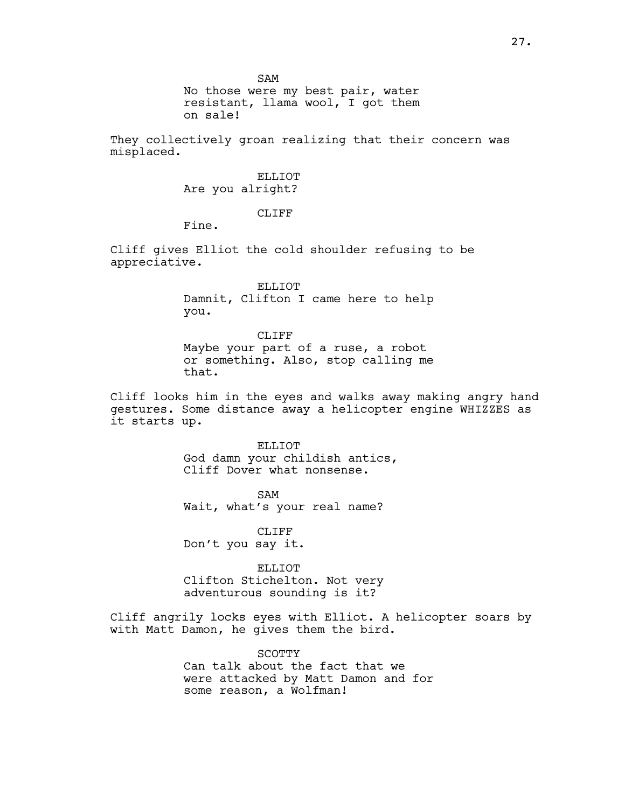SAM

No those were my best pair, water resistant, llama wool, I got them on sale!

They collectively groan realizing that their concern was misplaced.

## ELLIOT. Are you alright?

## CLIFF

Fine.

Cliff gives Elliot the cold shoulder refusing to be appreciative.

> ELLIOT Damnit, Clifton I came here to help you.

CLIFF Maybe your part of a ruse, a robot or something. Also, stop calling me that.

Cliff looks him in the eyes and walks away making angry hand gestures. Some distance away a helicopter engine WHIZZES as it starts up.

ELLIOT

God damn your childish antics, Cliff Dover what nonsense.

SAM Wait, what's your real name?

CLIFF Don't you say it.

ELLIOT

Clifton Stichelton. Not very adventurous sounding is it?

Cliff angrily locks eyes with Elliot. A helicopter soars by with Matt Damon, he gives them the bird.

> SCOTTY Can talk about the fact that we were attacked by Matt Damon and for some reason, a Wolfman!